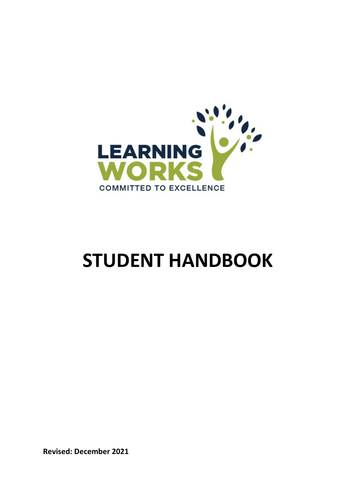

# STUDENT HANDBOOK

Revised: December 2021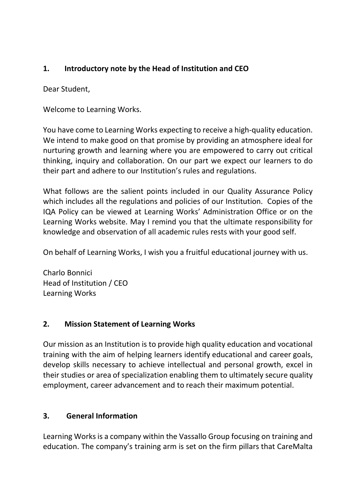## 1. Introductory note by the Head of Institution and CEO

Dear Student,

Welcome to Learning Works.

You have come to Learning Works expecting to receive a high-quality education. We intend to make good on that promise by providing an atmosphere ideal for nurturing growth and learning where you are empowered to carry out critical thinking, inquiry and collaboration. On our part we expect our learners to do their part and adhere to our Institution's rules and regulations.

What follows are the salient points included in our Quality Assurance Policy which includes all the regulations and policies of our Institution. Copies of the IQA Policy can be viewed at Learning Works' Administration Office or on the Learning Works website. May I remind you that the ultimate responsibility for knowledge and observation of all academic rules rests with your good self.

On behalf of Learning Works, I wish you a fruitful educational journey with us.

Charlo Bonnici Head of Institution / CEO Learning Works

### 2. Mission Statement of Learning Works

Our mission as an Institution is to provide high quality education and vocational training with the aim of helping learners identify educational and career goals, develop skills necessary to achieve intellectual and personal growth, excel in their studies or area of specialization enabling them to ultimately secure quality employment, career advancement and to reach their maximum potential.

### 3. General Information

Learning Works is a company within the Vassallo Group focusing on training and education. The company's training arm is set on the firm pillars that CareMalta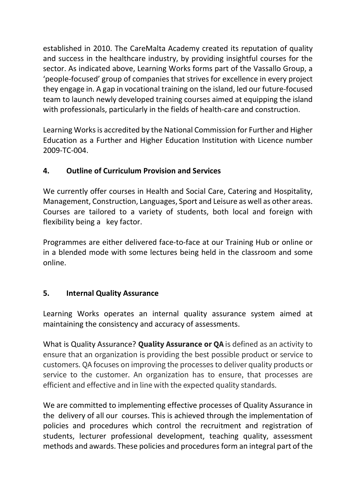established in 2010. The CareMalta Academy created its reputation of quality and success in the healthcare industry, by providing insightful courses for the sector. As indicated above, Learning Works forms part of the Vassallo Group, a 'people-focused' group of companies that strives for excellence in every project they engage in. A gap in vocational training on the island, led our future-focused team to launch newly developed training courses aimed at equipping the island with professionals, particularly in the fields of health-care and construction.

Learning Works is accredited by the National Commission for Further and Higher Education as a Further and Higher Education Institution with Licence number 2009-TC-004.

### 4. Outline of Curriculum Provision and Services

We currently offer courses in Health and Social Care, Catering and Hospitality, Management, Construction, Languages, Sport and Leisure as well as other areas. Courses are tailored to a variety of students, both local and foreign with flexibility being a key factor.

Programmes are either delivered face-to-face at our Training Hub or online or in a blended mode with some lectures being held in the classroom and some online.

### 5. Internal Quality Assurance

Learning Works operates an internal quality assurance system aimed at maintaining the consistency and accuracy of assessments.

What is Quality Assurance? Quality Assurance or QA is defined as an activity to ensure that an organization is providing the best possible product or service to customers. QA focuses on improving the processes to deliver quality products or service to the customer. An organization has to ensure, that processes are efficient and effective and in line with the expected quality standards.

We are committed to implementing effective processes of Quality Assurance in the delivery of all our courses. This is achieved through the implementation of policies and procedures which control the recruitment and registration of students, lecturer professional development, teaching quality, assessment methods and awards. These policies and procedures form an integral part of the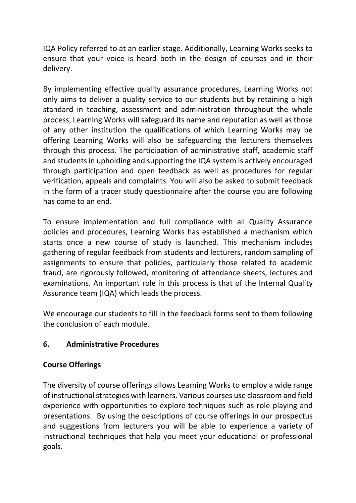IQA Policy referred to at an earlier stage. Additionally, Learning Works seeks to ensure that your voice is heard both in the design of courses and in their delivery.

By implementing effective quality assurance procedures, Learning Works not only aims to deliver a quality service to our students but by retaining a high standard in teaching, assessment and administration throughout the whole process, Learning Works will safeguard its name and reputation as well as those of any other institution the qualifications of which Learning Works may be offering Learning Works will also be safeguarding the lecturers themselves through this process. The participation of administrative staff, academic staff and students in upholding and supporting the IQA system is actively encouraged through participation and open feedback as well as procedures for regular verification, appeals and complaints. You will also be asked to submit feedback in the form of a tracer study questionnaire after the course you are following has come to an end.

To ensure implementation and full compliance with all Quality Assurance policies and procedures, Learning Works has established a mechanism which starts once a new course of study is launched. This mechanism includes gathering of regular feedback from students and lecturers, random sampling of assignments to ensure that policies, particularly those related to academic fraud, are rigorously followed, monitoring of attendance sheets, lectures and examinations. An important role in this process is that of the Internal Quality Assurance team (IQA) which leads the process.

We encourage our students to fill in the feedback forms sent to them following the conclusion of each module.

### 6. Administrative Procedures

### Course Offerings

The diversity of course offerings allows Learning Works to employ a wide range of instructional strategies with learners. Various courses use classroom and field experience with opportunities to explore techniques such as role playing and presentations. By using the descriptions of course offerings in our prospectus and suggestions from lecturers you will be able to experience a variety of instructional techniques that help you meet your educational or professional goals.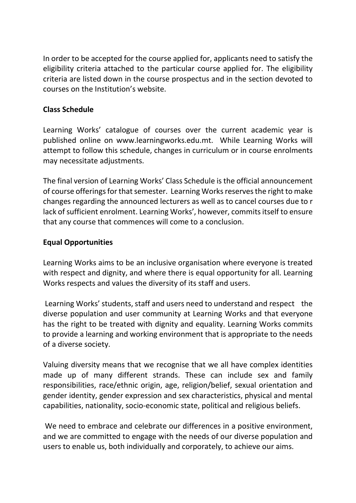In order to be accepted for the course applied for, applicants need to satisfy the eligibility criteria attached to the particular course applied for. The eligibility criteria are listed down in the course prospectus and in the section devoted to courses on the Institution's website.

#### Class Schedule

Learning Works' catalogue of courses over the current academic year is published online on www.learningworks.edu.mt. While Learning Works will attempt to follow this schedule, changes in curriculum or in course enrolments may necessitate adjustments.

The final version of Learning Works' Class Schedule is the official announcement of course offerings for that semester. Learning Works reserves the right to make changes regarding the announced lecturers as well as to cancel courses due to r lack of sufficient enrolment. Learning Works', however, commits itself to ensure that any course that commences will come to a conclusion.

#### Equal Opportunities

Learning Works aims to be an inclusive organisation where everyone is treated with respect and dignity, and where there is equal opportunity for all. Learning Works respects and values the diversity of its staff and users.

 Learning Works' students, staff and users need to understand and respect the diverse population and user community at Learning Works and that everyone has the right to be treated with dignity and equality. Learning Works commits to provide a learning and working environment that is appropriate to the needs of a diverse society.

Valuing diversity means that we recognise that we all have complex identities made up of many different strands. These can include sex and family responsibilities, race/ethnic origin, age, religion/belief, sexual orientation and gender identity, gender expression and sex characteristics, physical and mental capabilities, nationality, socio-economic state, political and religious beliefs.

 We need to embrace and celebrate our differences in a positive environment, and we are committed to engage with the needs of our diverse population and users to enable us, both individually and corporately, to achieve our aims.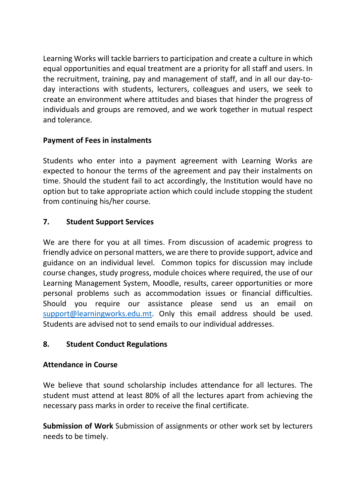Learning Works will tackle barriers to participation and create a culture in which equal opportunities and equal treatment are a priority for all staff and users. In the recruitment, training, pay and management of staff, and in all our day-today interactions with students, lecturers, colleagues and users, we seek to create an environment where attitudes and biases that hinder the progress of individuals and groups are removed, and we work together in mutual respect and tolerance.

### Payment of Fees in instalments

Students who enter into a payment agreement with Learning Works are expected to honour the terms of the agreement and pay their instalments on time. Should the student fail to act accordingly, the Institution would have no option but to take appropriate action which could include stopping the student from continuing his/her course.

# 7. Student Support Services

We are there for you at all times. From discussion of academic progress to friendly advice on personal matters, we are there to provide support, advice and guidance on an individual level. Common topics for discussion may include course changes, study progress, module choices where required, the use of our Learning Management System, Moodle, results, career opportunities or more personal problems such as accommodation issues or financial difficulties. Should you require our assistance please send us an email on support@learningworks.edu.mt. Only this email address should be used. Students are advised not to send emails to our individual addresses.

### 8. Student Conduct Regulations

### Attendance in Course

We believe that sound scholarship includes attendance for all lectures. The student must attend at least 80% of all the lectures apart from achieving the necessary pass marks in order to receive the final certificate.

Submission of Work Submission of assignments or other work set by lecturers needs to be timely.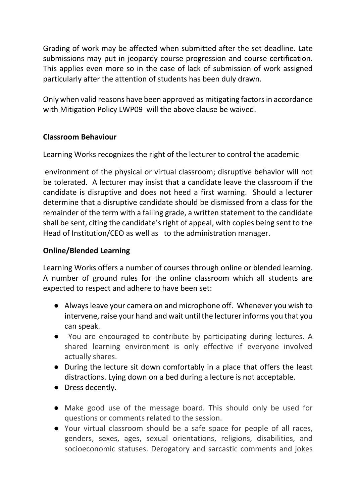Grading of work may be affected when submitted after the set deadline. Late submissions may put in jeopardy course progression and course certification. This applies even more so in the case of lack of submission of work assigned particularly after the attention of students has been duly drawn.

Only when valid reasons have been approved as mitigating factors in accordance with Mitigation Policy LWP09 will the above clause be waived.

#### Classroom Behaviour

Learning Works recognizes the right of the lecturer to control the academic

 environment of the physical or virtual classroom; disruptive behavior will not be tolerated. A lecturer may insist that a candidate leave the classroom if the candidate is disruptive and does not heed a first warning. Should a lecturer determine that a disruptive candidate should be dismissed from a class for the remainder of the term with a failing grade, a written statement to the candidate shall be sent, citing the candidate's right of appeal, with copies being sent to the Head of Institution/CEO as well as to the administration manager.

#### Online/Blended Learning

Learning Works offers a number of courses through online or blended learning. A number of ground rules for the online classroom which all students are expected to respect and adhere to have been set:

- Always leave your camera on and microphone off. Whenever you wish to intervene, raise your hand and wait until the lecturer informs you that you can speak.
- You are encouraged to contribute by participating during lectures. A shared learning environment is only effective if everyone involved actually shares.
- During the lecture sit down comfortably in a place that offers the least distractions. Lying down on a bed during a lecture is not acceptable.
- Dress decently.
- Make good use of the message board. This should only be used for questions or comments related to the session.
- Your virtual classroom should be a safe space for people of all races, genders, sexes, ages, sexual orientations, religions, disabilities, and socioeconomic statuses. Derogatory and sarcastic comments and jokes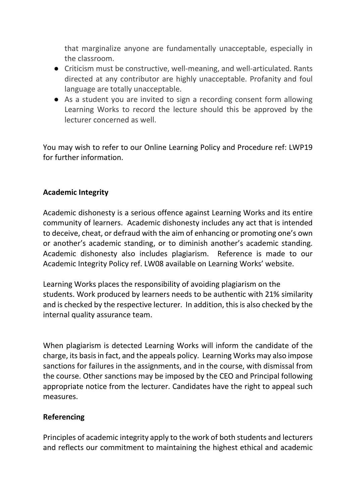that marginalize anyone are fundamentally unacceptable, especially in the classroom.

- Criticism must be constructive, well-meaning, and well-articulated. Rants directed at any contributor are highly unacceptable. Profanity and foul language are totally unacceptable.
- As a student you are invited to sign a recording consent form allowing Learning Works to record the lecture should this be approved by the lecturer concerned as well.

You may wish to refer to our Online Learning Policy and Procedure ref: LWP19 for further information.

#### Academic Integrity

Academic dishonesty is a serious offence against Learning Works and its entire community of learners. Academic dishonesty includes any act that is intended to deceive, cheat, or defraud with the aim of enhancing or promoting one's own or another's academic standing, or to diminish another's academic standing. Academic dishonesty also includes plagiarism. Reference is made to our Academic Integrity Policy ref. LW08 available on Learning Works' website.

Learning Works places the responsibility of avoiding plagiarism on the students. Work produced by learners needs to be authentic with 21% similarity and is checked by the respective lecturer. In addition, this is also checked by the internal quality assurance team.

When plagiarism is detected Learning Works will inform the candidate of the charge, its basis in fact, and the appeals policy. Learning Works may also impose sanctions for failures in the assignments, and in the course, with dismissal from the course. Other sanctions may be imposed by the CEO and Principal following appropriate notice from the lecturer. Candidates have the right to appeal such measures.

#### Referencing

Principles of academic integrity apply to the work of both students and lecturers and reflects our commitment to maintaining the highest ethical and academic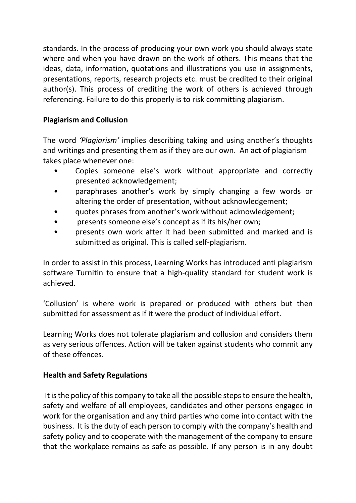standards. In the process of producing your own work you should always state where and when you have drawn on the work of others. This means that the ideas, data, information, quotations and illustrations you use in assignments, presentations, reports, research projects etc. must be credited to their original author(s). This process of crediting the work of others is achieved through referencing. Failure to do this properly is to risk committing plagiarism.

### Plagiarism and Collusion

The word 'Plagiarism' implies describing taking and using another's thoughts and writings and presenting them as if they are our own. An act of plagiarism takes place whenever one:

- Copies someone else's work without appropriate and correctly presented acknowledgement;
- paraphrases another's work by simply changing a few words or altering the order of presentation, without acknowledgement;
- quotes phrases from another's work without acknowledgement;
- presents someone else's concept as if its his/her own;
- presents own work after it had been submitted and marked and is submitted as original. This is called self-plagiarism.

In order to assist in this process, Learning Works has introduced anti plagiarism software Turnitin to ensure that a high-quality standard for student work is achieved.

'Collusion' is where work is prepared or produced with others but then submitted for assessment as if it were the product of individual effort.

Learning Works does not tolerate plagiarism and collusion and considers them as very serious offences. Action will be taken against students who commit any of these offences.

### Health and Safety Regulations

 It is the policy of this company to take all the possible steps to ensure the health, safety and welfare of all employees, candidates and other persons engaged in work for the organisation and any third parties who come into contact with the business. It is the duty of each person to comply with the company's health and safety policy and to cooperate with the management of the company to ensure that the workplace remains as safe as possible. If any person is in any doubt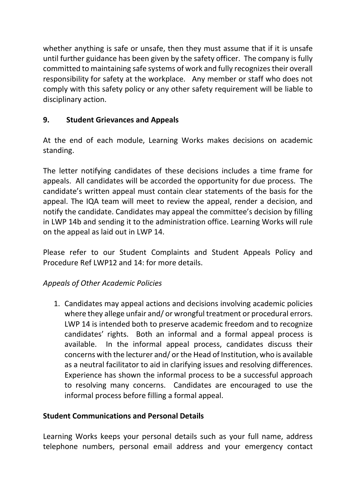whether anything is safe or unsafe, then they must assume that if it is unsafe until further guidance has been given by the safety officer. The company is fully committed to maintaining safe systems of work and fully recognizes their overall responsibility for safety at the workplace. Any member or staff who does not comply with this safety policy or any other safety requirement will be liable to disciplinary action.

# 9. Student Grievances and Appeals

At the end of each module, Learning Works makes decisions on academic standing.

The letter notifying candidates of these decisions includes a time frame for appeals. All candidates will be accorded the opportunity for due process. The candidate's written appeal must contain clear statements of the basis for the appeal. The IQA team will meet to review the appeal, render a decision, and notify the candidate. Candidates may appeal the committee's decision by filling in LWP 14b and sending it to the administration office. Learning Works will rule on the appeal as laid out in LWP 14.

Please refer to our Student Complaints and Student Appeals Policy and Procedure Ref LWP12 and 14: for more details.

### Appeals of Other Academic Policies

1. Candidates may appeal actions and decisions involving academic policies where they allege unfair and/ or wrongful treatment or procedural errors. LWP 14 is intended both to preserve academic freedom and to recognize candidates' rights. Both an informal and a formal appeal process is available. In the informal appeal process, candidates discuss their concerns with the lecturer and/ or the Head of Institution, who is available as a neutral facilitator to aid in clarifying issues and resolving differences. Experience has shown the informal process to be a successful approach to resolving many concerns. Candidates are encouraged to use the informal process before filling a formal appeal.

### Student Communications and Personal Details

Learning Works keeps your personal details such as your full name, address telephone numbers, personal email address and your emergency contact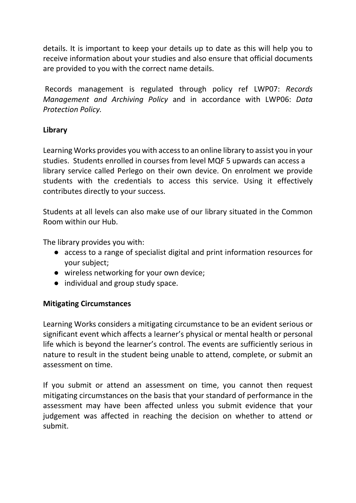details. It is important to keep your details up to date as this will help you to receive information about your studies and also ensure that official documents are provided to you with the correct name details.

 Records management is regulated through policy ref LWP07: Records Management and Archiving Policy and in accordance with LWP06: Data Protection Policy.

#### Library

Learning Works provides you with access to an online library to assist you in your studies. Students enrolled in courses from level MQF 5 upwards can access a library service called Perlego on their own device. On enrolment we provide students with the credentials to access this service. Using it effectively contributes directly to your success.

Students at all levels can also make use of our library situated in the Common Room within our Hub.

The library provides you with:

- access to a range of specialist digital and print information resources for your subject;
- wireless networking for your own device;
- individual and group study space.

### Mitigating Circumstances

Learning Works considers a mitigating circumstance to be an evident serious or significant event which affects a learner's physical or mental health or personal life which is beyond the learner's control. The events are sufficiently serious in nature to result in the student being unable to attend, complete, or submit an assessment on time.

If you submit or attend an assessment on time, you cannot then request mitigating circumstances on the basis that your standard of performance in the assessment may have been affected unless you submit evidence that your judgement was affected in reaching the decision on whether to attend or submit.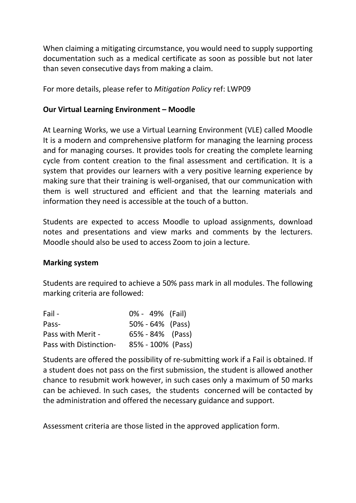When claiming a mitigating circumstance, you would need to supply supporting documentation such as a medical certificate as soon as possible but not later than seven consecutive days from making a claim.

For more details, please refer to Mitigation Policy ref: LWP09

#### Our Virtual Learning Environment – Moodle

At Learning Works, we use a Virtual Learning Environment (VLE) called Moodle It is a modern and comprehensive platform for managing the learning process and for managing courses. It provides tools for creating the complete learning cycle from content creation to the final assessment and certification. It is a system that provides our learners with a very positive learning experience by making sure that their training is well-organised, that our communication with them is well structured and efficient and that the learning materials and information they need is accessible at the touch of a button.

Students are expected to access Moodle to upload assignments, download notes and presentations and view marks and comments by the lecturers. Moodle should also be used to access Zoom to join a lecture.

#### Marking system

Students are required to achieve a 50% pass mark in all modules. The following marking criteria are followed:

| Fail -                        | 0% - 49% (Fail) |                      |
|-------------------------------|-----------------|----------------------|
| Pass-                         |                 | $50\% - 64\%$ (Pass) |
| Pass with Merit -             |                 | $65\% - 84\%$ (Pass) |
| <b>Pass with Distinction-</b> |                 | 85% - 100% (Pass)    |

Students are offered the possibility of re-submitting work if a Fail is obtained. If a student does not pass on the first submission, the student is allowed another chance to resubmit work however, in such cases only a maximum of 50 marks can be achieved. In such cases, the students concerned will be contacted by the administration and offered the necessary guidance and support.

Assessment criteria are those listed in the approved application form.